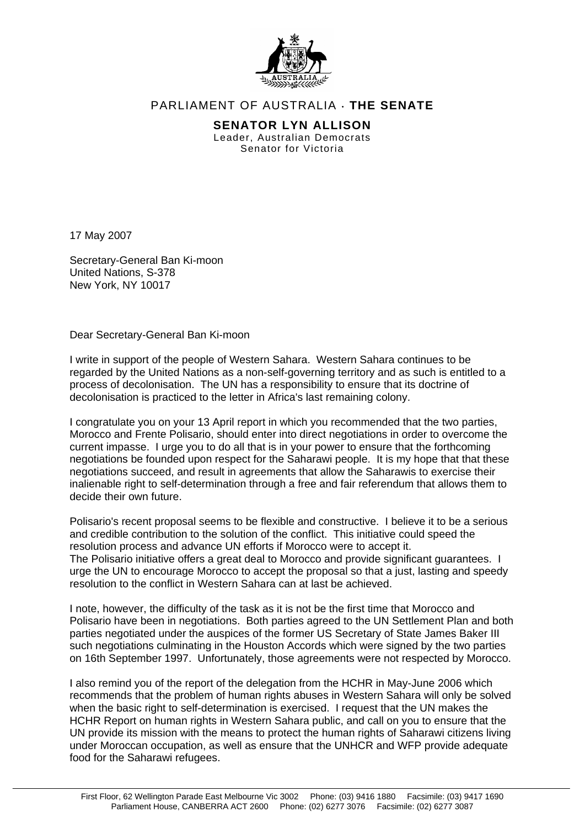

## PARLIAMENT OF AUSTRALIA ⋅ **THE SENATE**

**SENATOR LYN ALLISON**  Leader, Australian Democrats Senator for Victoria

17 May 2007

Secretary-General Ban Ki-moon United Nations, S-378 New York, NY 10017

Dear Secretary-General Ban Ki-moon

I write in support of the people of Western Sahara. Western Sahara continues to be regarded by the United Nations as a non-self-governing territory and as such is entitled to a process of decolonisation. The UN has a responsibility to ensure that its doctrine of decolonisation is practiced to the letter in Africa's last remaining colony.

I congratulate you on your 13 April report in which you recommended that the two parties, Morocco and Frente Polisario, should enter into direct negotiations in order to overcome the current impasse. I urge you to do all that is in your power to ensure that the forthcoming negotiations be founded upon respect for the Saharawi people. It is my hope that that these negotiations succeed, and result in agreements that allow the Saharawis to exercise their inalienable right to self-determination through a free and fair referendum that allows them to decide their own future.

Polisario's recent proposal seems to be flexible and constructive. I believe it to be a serious and credible contribution to the solution of the conflict. This initiative could speed the resolution process and advance UN efforts if Morocco were to accept it. The Polisario initiative offers a great deal to Morocco and provide significant guarantees. I urge the UN to encourage Morocco to accept the proposal so that a just, lasting and speedy resolution to the conflict in Western Sahara can at last be achieved.

I note, however, the difficulty of the task as it is not be the first time that Morocco and Polisario have been in negotiations. Both parties agreed to the UN Settlement Plan and both parties negotiated under the auspices of the former US Secretary of State James Baker III such negotiations culminating in the Houston Accords which were signed by the two parties on 16th September 1997. Unfortunately, those agreements were not respected by Morocco.

I also remind you of the report of the delegation from the HCHR in May-June 2006 which recommends that the problem of human rights abuses in Western Sahara will only be solved when the basic right to self-determination is exercised. I request that the UN makes the HCHR Report on human rights in Western Sahara public, and call on you to ensure that the UN provide its mission with the means to protect the human rights of Saharawi citizens living under Moroccan occupation, as well as ensure that the UNHCR and WFP provide adequate food for the Saharawi refugees.